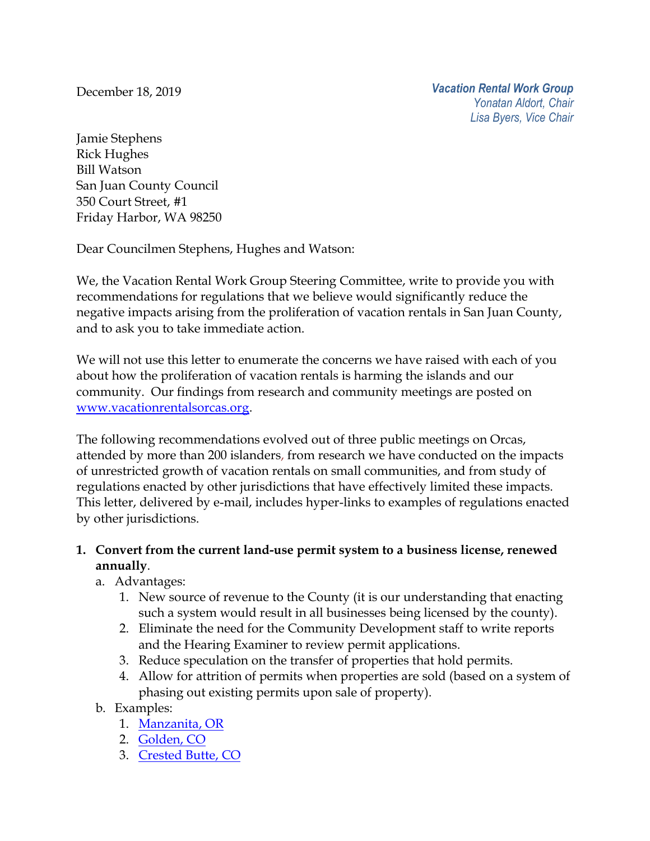December 18, 2019

Jamie Stephens Rick Hughes Bill Watson San Juan County Council 350 Court Street, #1 Friday Harbor, WA 98250

Dear Councilmen Stephens, Hughes and Watson:

We, the Vacation Rental Work Group Steering Committee, write to provide you with recommendations for regulations that we believe would significantly reduce the negative impacts arising from the proliferation of vacation rentals in San Juan County, and to ask you to take immediate action.

We will not use this letter to enumerate the concerns we have raised with each of you about how the proliferation of vacation rentals is harming the islands and our community. Our findings from research and community meetings are posted on [www.vacationrentalsorcas.org.](http://www.vacationrentalsorcas.org/)

The following recommendations evolved out of three public meetings on Orcas, attended by more than 200 islanders, from research we have conducted on the impacts of unrestricted growth of vacation rentals on small communities, and from study of regulations enacted by other jurisdictions that have effectively limited these impacts. This letter, delivered by e-mail, includes hyper-links to examples of regulations enacted by other jurisdictions.

## **1. Convert from the current land-use permit system to a business license, renewed annually**.

- a. Advantages:
	- 1. New source of revenue to the County (it is our understanding that enacting such a system would result in all businesses being licensed by the county).
	- 2. Eliminate the need for the Community Development staff to write reports and the Hearing Examiner to review permit applications.
	- 3. Reduce speculation on the transfer of properties that hold permits.
	- 4. Allow for attrition of permits when properties are sold (based on a system of phasing out existing permits upon sale of property).
- b. Examples:
	- 1. [Manzanita,](https://ci.manzanita.or.us/3Services/admin-STrental.html) OR
	- 2. [Golden,](https://www.cityofgolden.net/live/residents-guide/short-term-rentals/) CO
	- 3. [Crested](https://www.crestedbutte-co.gov/?SEC=0DA56E89-36E1-4A3A-8001-5F16483DEFCD) Butte, CO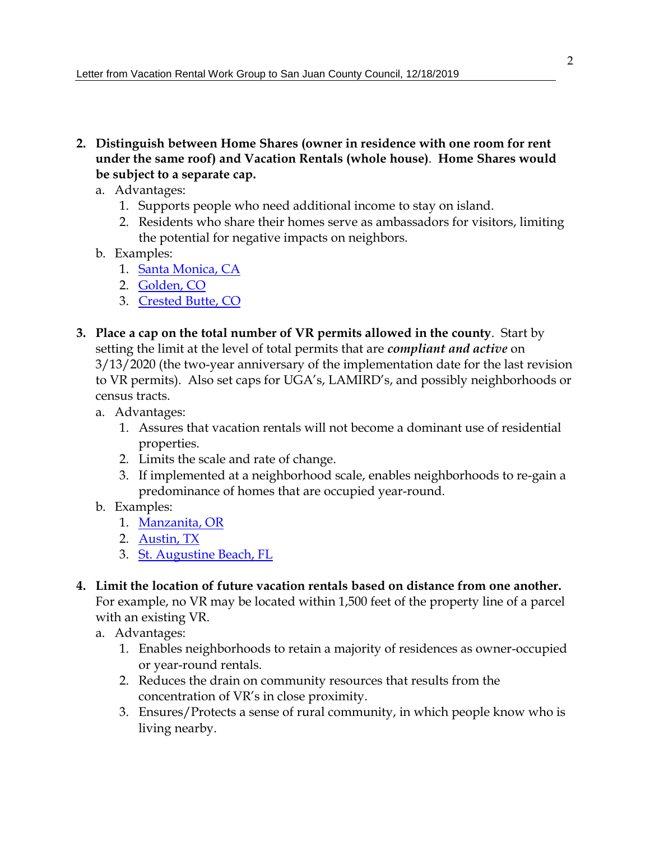- **2. Distinguish between Home Shares (owner in residence with one room for rent under the same roof) and Vacation Rentals (whole house)**. **Home Shares would be subject to a separate cap.**
	- a. Advantages:
		- 1. Supports people who need additional income to stay on island.
		- 2. Residents who share their homes serve as ambassadors for visitors, limiting the potential for negative impacts on neighbors.
	- b. Examples:
		- 1. Santa [Monica,](https://www.smgov.net/Departments/PCD/Permits/Short-Term-Rental-Home-Share-Ordinance/) CA
		- 2. [Golden,](https://www.cityofgolden.net/live/residents-guide/short-term-rentals/) CO
		- 3. [Crested](https://www.crestedbutte-co.gov/?SEC=0DA56E89-36E1-4A3A-8001-5F16483DEFCD) Butte, CO
- **3. Place a cap on the total number of VR permits allowed in the county**. Start by setting the limit at the level of total permits that are *compliant and active* on 3/13/2020 (the two-year anniversary of the implementation date for the last revision to VR permits). Also set caps for UGA's, LAMIRD's, and possibly neighborhoods or census tracts.
	- a. Advantages:
		- 1. Assures that vacation rentals will not become a dominant use of residential properties.
		- 2. Limits the scale and rate of change.
		- 3. If implemented at a neighborhood scale, enables neighborhoods to re-gain a predominance of homes that are occupied year-round.
	- b. Examples:
		- 1. [Manzanita,](https://ci.manzanita.or.us/3Services/admin-STrental.html) OR
		- 2. [Austin,](https://www.austintexas.gov/str) TX
		- 3. St. [Augustine](https://www.staugbch.com/citymanager/page/transient-rentals) Beach, FL
- **4. Limit the location of future vacation rentals based on distance from one another.** For example, no VR may be located within 1,500 feet of the property line of a parcel with an existing VR.
	- a. Advantages:
		- 1. Enables neighborhoods to retain a majority of residences as owner-occupied or year-round rentals.
		- 2. Reduces the drain on community resources that results from the concentration of VR's in close proximity.
		- 3. Ensures/Protects a sense of rural community, in which people know who is living nearby.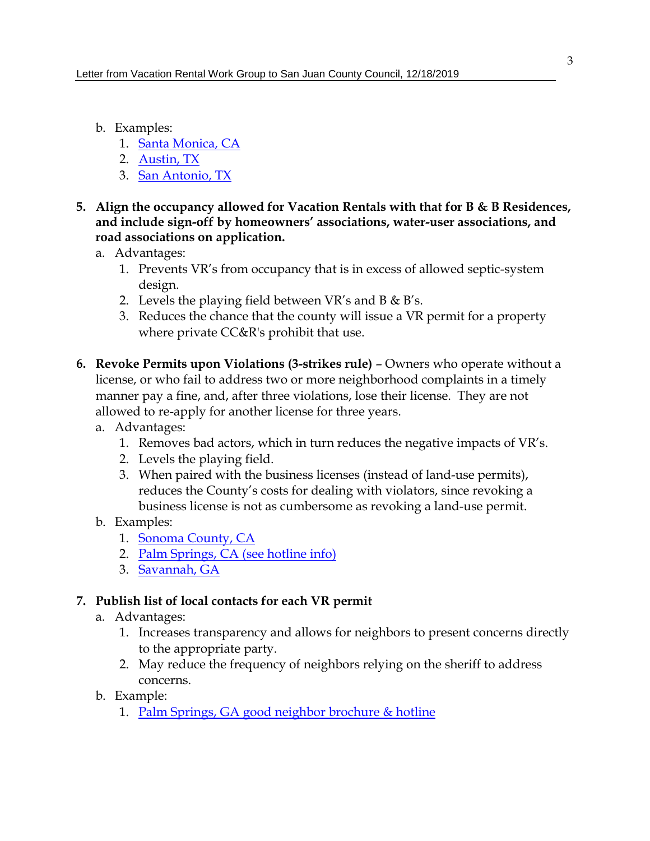- b. Examples:
	- 1. Santa [Monica,](https://www.smgov.net/Departments/PCD/Permits/Short-Term-Rental-Home-Share-Ordinance/) CA
	- 2. [Austin,](https://www.austintexas.gov/str) TX
	- 3. San [Antonio,](https://docsonline.sanantonio.gov/FileUploads/dsd/ShortTermRentalDRAFTOrdinance.pdf) TX
- **5. Align the occupancy allowed for Vacation Rentals with that for B & B Residences, and include sign-off by homeowners' associations, water-user associations, and road associations on application.**
	- a. Advantages:
		- 1. Prevents VR's from occupancy that is in excess of allowed septic-system design.
		- 2. Levels the playing field between VR's and B  $\&$  B's.
		- 3. Reduces the chance that the county will issue a VR permit for a property where private CC&R's prohibit that use.
- **6. Revoke Permits upon Violations (3-strikes rule)** Owners who operate without a license, or who fail to address two or more neighborhood complaints in a timely manner pay a fine, and, after three violations, lose their license. They are not allowed to re-apply for another license for three years.
	- a. Advantages:
		- 1. Removes bad actors, which in turn reduces the negative impacts of VR's.
		- 2. Levels the playing field.
		- 3. When paired with the business licenses (instead of land-use permits), reduces the County's costs for dealing with violators, since revoking a business license is not as cumbersome as revoking a land-use permit.
	- b. Examples:
		- 1. [Sonoma](https://sonomacounty.ca.gov/PRMD/Regulations/Vacation-and-Hosted-Rentals/Code-for-Vacation-Rentals/) County, CA
		- 2. Palm [Springs,](https://www.palmspringsca.gov/government/departments/vacation-rentals) CA (see hotline info)
		- 3. [Savannah,](https://www.savannahga.gov/DocumentCenter/View/13217/Short-Term-Vacation-Rental-Ordinance-as-approved-on-August-3-and-September-28-2017?bidId=) GA

## **7. Publish list of local contacts for each VR permit**

- a. Advantages:
	- 1. Increases transparency and allows for neighbors to present concerns directly to the appropriate party.
	- 2. May reduce the frequency of neighbors relying on the sheriff to address concerns.
- b. Example:
	- 1. Palm Springs, GA good neighbor [brochure](https://www.palmspringsca.gov/government/departments/vacation-rentals) & hotline